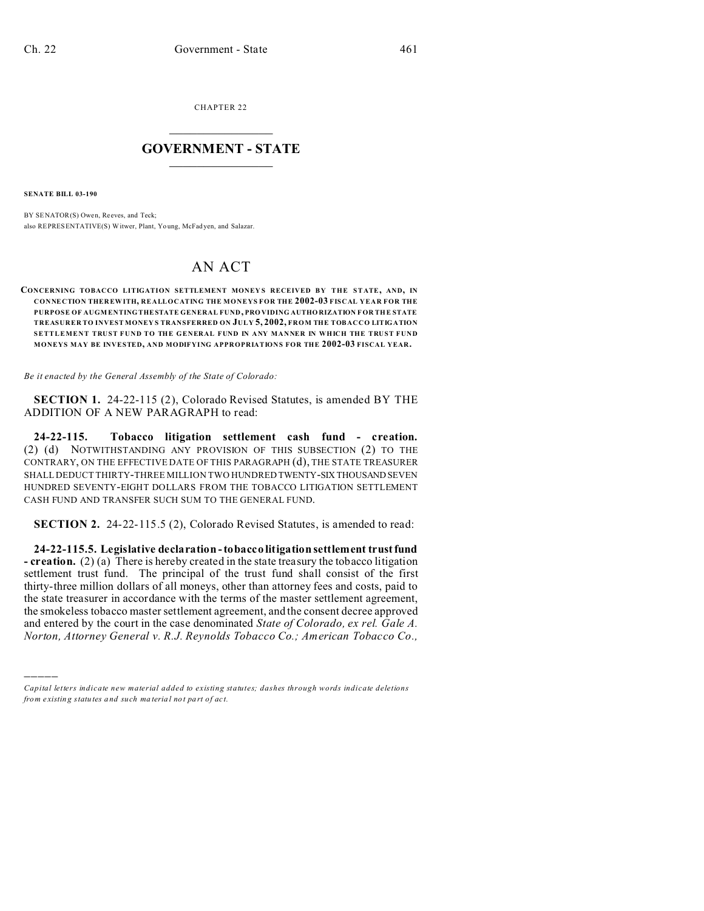CHAPTER 22  $\overline{\phantom{a}}$  , where  $\overline{\phantom{a}}$ 

# **GOVERNMENT - STATE**  $\_$   $\_$

**SENATE BILL 03-190**

)))))

BY SENATOR(S) Owen, Reeves, and Teck; also REPRESENTATIVE(S) Witwer, Plant, Yo ung, McFad yen, and Salazar.

# AN ACT

**CONCERNING TOBACCO LITIGATION SETTLEMENT MONEY S RECEIVED BY THE STATE, AND, IN CONNECTION THER EWITH, REALLOCATING THE MONEYS FOR THE 2002-03 FISCAL YEAR FOR THE PURPOSE OF AUGM ENTINGTHESTATE GENERAL FUND, PRO VIDING AUTHO RIZATION F OR THE STATE TREASURER TO INVEST MONEY S TRANSFERRED ON JULY 5, 2002, FROM THE TOBACCO LITIGATION SETTLEMENT TRUST FUND TO THE GENERAL FUND IN ANY MANNER IN WHICH THE TRUST FUND MONEYS MAY BE INVESTED, AND MODIFYING APPROPRIATIONS FOR THE 2002-03 FISCAL YEAR.**

*Be it enacted by the General Assembly of the State of Colorado:*

**SECTION 1.** 24-22-115 (2), Colorado Revised Statutes, is amended BY THE ADDITION OF A NEW PARAGRAPH to read:

**24-22-115. Tobacco litigation settlement cash fund - creation.** (2) (d) NOTWITHSTANDING ANY PROVISION OF THIS SUBSECTION (2) TO THE CONTRARY, ON THE EFFECTIVE DATE OF THIS PARAGRAPH (d), THE STATE TREASURER SHALL DEDUCT THIRTY-THREE MILLION TWO HUNDRED TWENTY-SIX THOUSAND SEVEN HUNDRED SEVENTY-EIGHT DOLLARS FROM THE TOBACCO LITIGATION SETTLEMENT CASH FUND AND TRANSFER SUCH SUM TO THE GENERAL FUND.

**SECTION 2.** 24-22-115.5 (2), Colorado Revised Statutes, is amended to read:

**24-22-115.5. Legislative declaration - tobacco litigation settlement trust fund - creation.** (2) (a) There is hereby created in the state treasury the tobacco litigation settlement trust fund. The principal of the trust fund shall consist of the first thirty-three million dollars of all moneys, other than attorney fees and costs, paid to the state treasurer in accordance with the terms of the master settlement agreement, the smokeless tobacco master settlement agreement, and the consent decree approved and entered by the court in the case denominated *State of Colorado, ex rel. Gale A. Norton, Attorney General v. R.J. Reynolds Tobacco Co.; American Tobacco Co.,*

*Capital letters indicate new material added to existing statutes; dashes through words indicate deletions from e xistin g statu tes a nd such ma teria l no t pa rt of ac t.*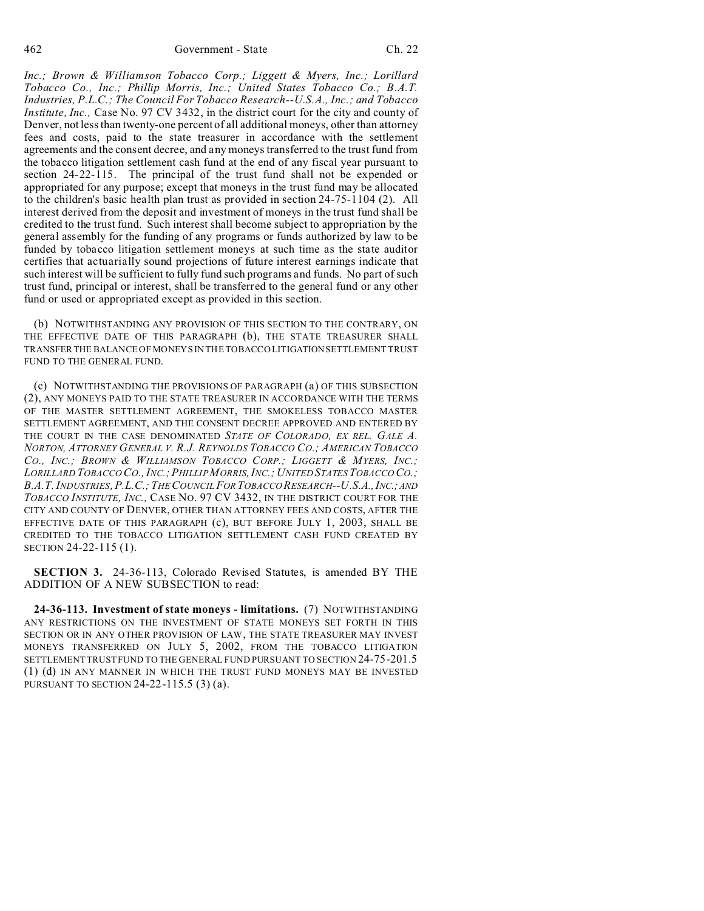*Inc.; Brown & Williamson Tobacco Corp.; Liggett & Myers, Inc.; Lorillard Tobacco Co., Inc.; Phillip Morris, Inc.; United States Tobacco Co.; B.A.T. Industries, P.L.C.; The Council For Tobacco Research--U.S.A., Inc.; and Tobacco Institute, Inc.,* Case No. 97 CV 3432, in the district court for the city and county of Denver, not less than twenty-one percent of all additional moneys, other than attorney fees and costs, paid to the state treasurer in accordance with the settlement agreements and the consent decree, and any moneys transferred to the trust fund from the tobacco litigation settlement cash fund at the end of any fiscal year pursuant to section 24-22-115. The principal of the trust fund shall not be expended or appropriated for any purpose; except that moneys in the trust fund may be allocated to the children's basic health plan trust as provided in section 24-75-1104 (2). All interest derived from the deposit and investment of moneys in the trust fund shall be credited to the trust fund. Such interest shall become subject to appropriation by the general assembly for the funding of any programs or funds authorized by law to be funded by tobacco litigation settlement moneys at such time as the state auditor certifies that actuarially sound projections of future interest earnings indicate that such interest will be sufficient to fully fund such programs and funds. No part of such trust fund, principal or interest, shall be transferred to the general fund or any other fund or used or appropriated except as provided in this section.

(b) NOTWITHSTANDING ANY PROVISION OF THIS SECTION TO THE CONTRARY, ON THE EFFECTIVE DATE OF THIS PARAGRAPH (b), THE STATE TREASURER SHALL TRANSFER THE BALANCE OF MONEYS IN THE TOBACCO LITIGATION SETTLEMENT TRUST FUND TO THE GENERAL FUND.

(c) NOTWITHSTANDING THE PROVISIONS OF PARAGRAPH (a) OF THIS SUBSECTION (2), ANY MONEYS PAID TO THE STATE TREASURER IN ACCORDANCE WITH THE TERMS OF THE MASTER SETTLEMENT AGREEMENT, THE SMOKELESS TOBACCO MASTER SETTLEMENT AGREEMENT, AND THE CONSENT DECREE APPROVED AND ENTERED BY THE COURT IN THE CASE DENOMINATED *STATE OF COLORADO, EX REL. GALE A. NORTON, ATTORNEY GENERAL V. R.J. REYNOLDS TOBACCO CO.; AMERICAN TOBACCO* CO., INC.; BROWN & WILLIAMSON TOBACCO CORP.; LIGGETT & MYERS, INC.; LORILLARD TOBACCO CO., INC.; PHILLIP MORRIS, INC.; UNITED STATES TOBACCO CO.; *B.A.T.INDUSTRIES,P.L.C.; THE COUNCIL FOR TOBACCO RESEARCH--U.S.A.,INC.;AND TOBACCO INSTITUTE, INC.,* CASE NO. 97 CV 3432, IN THE DISTRICT COURT FOR THE CITY AND COUNTY OF DENVER, OTHER THAN ATTORNEY FEES AND COSTS, AFTER THE EFFECTIVE DATE OF THIS PARAGRAPH (c), BUT BEFORE JULY 1, 2003, SHALL BE CREDITED TO THE TOBACCO LITIGATION SETTLEMENT CASH FUND CREATED BY SECTION 24-22-115 (1).

**SECTION 3.** 24-36-113, Colorado Revised Statutes, is amended BY THE ADDITION OF A NEW SUBSECTION to read:

**24-36-113. Investment of state moneys - limitations.** (7) NOTWITHSTANDING ANY RESTRICTIONS ON THE INVESTMENT OF STATE MONEYS SET FORTH IN THIS SECTION OR IN ANY OTHER PROVISION OF LAW, THE STATE TREASURER MAY INVEST MONEYS TRANSFERRED ON JULY 5, 2002, FROM THE TOBACCO LITIGATION SETTLEMENT TRUST FUND TO THE GENERAL FUND PURSUANT TO SECTION 24-75-201.5 (1) (d) IN ANY MANNER IN WHICH THE TRUST FUND MONEYS MAY BE INVESTED PURSUANT TO SECTION 24-22-115.5 (3) (a).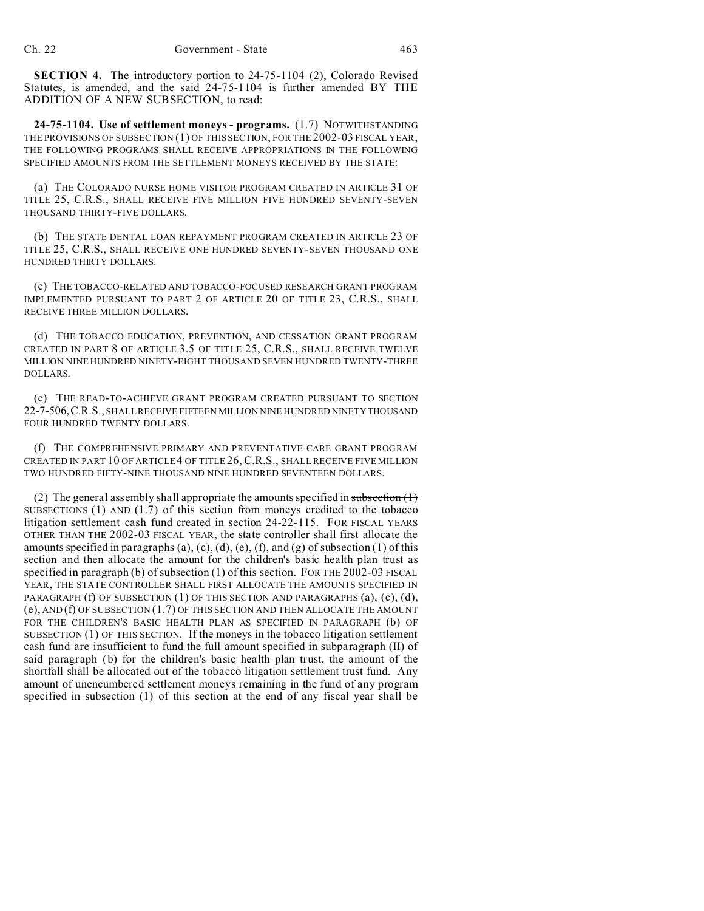**SECTION 4.** The introductory portion to 24-75-1104 (2), Colorado Revised Statutes, is amended, and the said 24-75-1104 is further amended BY THE ADDITION OF A NEW SUBSECTION, to read:

**24-75-1104. Use of settlement moneys - programs.** (1.7) NOTWITHSTANDING THE PROVISIONS OF SUBSECTION (1) OF THIS SECTION, FOR THE 2002-03 FISCAL YEAR, THE FOLLOWING PROGRAMS SHALL RECEIVE APPROPRIATIONS IN THE FOLLOWING SPECIFIED AMOUNTS FROM THE SETTLEMENT MONEYS RECEIVED BY THE STATE:

(a) THE COLORADO NURSE HOME VISITOR PROGRAM CREATED IN ARTICLE 31 OF TITLE 25, C.R.S., SHALL RECEIVE FIVE MILLION FIVE HUNDRED SEVENTY-SEVEN THOUSAND THIRTY-FIVE DOLLARS.

(b) THE STATE DENTAL LOAN REPAYMENT PROGRAM CREATED IN ARTICLE 23 OF TITLE 25, C.R.S., SHALL RECEIVE ONE HUNDRED SEVENTY-SEVEN THOUSAND ONE HUNDRED THIRTY DOLLARS.

(c) THE TOBACCO-RELATED AND TOBACCO-FOCUSED RESEARCH GRANT PROGRAM IMPLEMENTED PURSUANT TO PART 2 OF ARTICLE 20 OF TITLE 23, C.R.S., SHALL RECEIVE THREE MILLION DOLLARS.

(d) THE TOBACCO EDUCATION, PREVENTION, AND CESSATION GRANT PROGRAM CREATED IN PART 8 OF ARTICLE 3.5 OF TITLE 25, C.R.S., SHALL RECEIVE TWELVE MILLION NINE HUNDRED NINETY-EIGHT THOUSAND SEVEN HUNDRED TWENTY-THREE DOLLARS.

(e) THE READ-TO-ACHIEVE GRANT PROGRAM CREATED PURSUANT TO SECTION 22-7-506,C.R.S., SHALL RECEIVE FIFTEEN MILLION NINE HUNDRED NINETY THOUSAND FOUR HUNDRED TWENTY DOLLARS.

(f) THE COMPREHENSIVE PRIMARY AND PREVENTATIVE CARE GRANT PROGRAM CREATED IN PART 10 OF ARTICLE 4 OF TITLE 26, C.R.S., SHALL RECEIVE FIVE MILLION TWO HUNDRED FIFTY-NINE THOUSAND NINE HUNDRED SEVENTEEN DOLLARS.

(2) The general assembly shall appropriate the amounts specified in subsection  $(1)$ SUBSECTIONS (1) AND (1.7) of this section from moneys credited to the tobacco litigation settlement cash fund created in section 24-22-115. FOR FISCAL YEARS OTHER THAN THE 2002-03 FISCAL YEAR, the state controller shall first allocate the amounts specified in paragraphs (a), (c), (d), (e), (f), and (g) of subsection (1) of this section and then allocate the amount for the children's basic health plan trust as specified in paragraph (b) of subsection (1) of this section. FOR THE 2002-03 FISCAL YEAR, THE STATE CONTROLLER SHALL FIRST ALLOCATE THE AMOUNTS SPECIFIED IN PARAGRAPH (f) OF SUBSECTION (1) OF THIS SECTION AND PARAGRAPHS (a), (c), (d), (e), AND (f) OF SUBSECTION (1.7) OF THIS SECTION AND THEN ALLOCATE THE AMOUNT FOR THE CHILDREN'S BASIC HEALTH PLAN AS SPECIFIED IN PARAGRAPH (b) OF SUBSECTION (1) OF THIS SECTION. If the moneys in the tobacco litigation settlement cash fund are insufficient to fund the full amount specified in subparagraph (II) of said paragraph (b) for the children's basic health plan trust, the amount of the shortfall shall be allocated out of the tobacco litigation settlement trust fund. Any amount of unencumbered settlement moneys remaining in the fund of any program specified in subsection (1) of this section at the end of any fiscal year shall be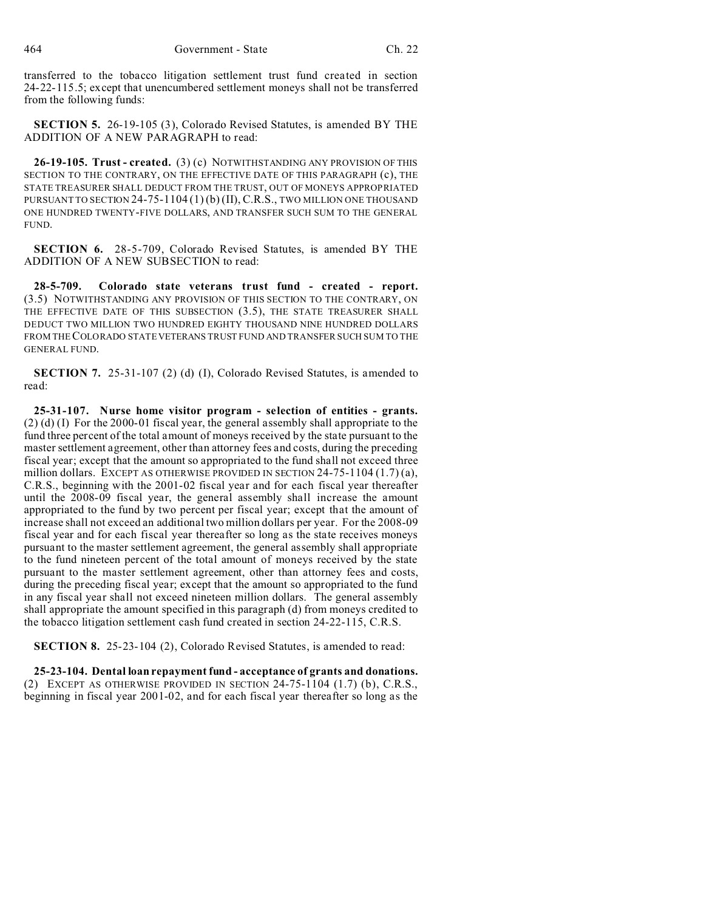transferred to the tobacco litigation settlement trust fund created in section 24-22-115.5; except that unencumbered settlement moneys shall not be transferred from the following funds:

**SECTION 5.** 26-19-105 (3), Colorado Revised Statutes, is amended BY THE ADDITION OF A NEW PARAGRAPH to read:

**26-19-105. Trust - created.** (3) (c) NOTWITHSTANDING ANY PROVISION OF THIS SECTION TO THE CONTRARY, ON THE EFFECTIVE DATE OF THIS PARAGRAPH (c), THE STATE TREASURER SHALL DEDUCT FROM THE TRUST, OUT OF MONEYS APPROPRIATED PURSUANT TO SECTION  $24-75-1104(1)$  (b) (II), C.R.S., TWO MILLION ONE THOUSAND ONE HUNDRED TWENTY-FIVE DOLLARS, AND TRANSFER SUCH SUM TO THE GENERAL FUND.

**SECTION 6.** 28-5-709, Colorado Revised Statutes, is amended BY THE ADDITION OF A NEW SUBSECTION to read:

**28-5-709. Colorado state veterans trust fund - created - report.** (3.5) NOTWITHSTANDING ANY PROVISION OF THIS SECTION TO THE CONTRARY, ON THE EFFECTIVE DATE OF THIS SUBSECTION (3.5), THE STATE TREASURER SHALL DEDUCT TWO MILLION TWO HUNDRED EIGHTY THOUSAND NINE HUNDRED DOLLARS FROM THE COLORADO STATEVETERANS TRUST FUND AND TRANSFER SUCH SUM TO THE GENERAL FUND.

**SECTION 7.** 25-31-107 (2) (d) (I), Colorado Revised Statutes, is amended to read:

**25-31-107. Nurse home visitor program - selection of entities - grants.** (2) (d) (I) For the 2000-01 fiscal year, the general assembly shall appropriate to the fund three percent of the total amount of moneys received by the state pursuant to the master settlement agreement, other than attorney fees and costs, during the preceding fiscal year; except that the amount so appropriated to the fund shall not exceed three million dollars. EXCEPT AS OTHERWISE PROVIDED IN SECTION 24-75-1104 (1.7) (a), C.R.S., beginning with the 2001-02 fiscal year and for each fiscal year thereafter until the 2008-09 fiscal year, the general assembly shall increase the amount appropriated to the fund by two percent per fiscal year; except that the amount of increase shall not exceed an additional two million dollars per year. For the 2008-09 fiscal year and for each fiscal year thereafter so long as the state receives moneys pursuant to the master settlement agreement, the general assembly shall appropriate to the fund nineteen percent of the total amount of moneys received by the state pursuant to the master settlement agreement, other than attorney fees and costs, during the preceding fiscal year; except that the amount so appropriated to the fund in any fiscal year shall not exceed nineteen million dollars. The general assembly shall appropriate the amount specified in this paragraph (d) from moneys credited to the tobacco litigation settlement cash fund created in section 24-22-115, C.R.S.

**SECTION 8.** 25-23-104 (2), Colorado Revised Statutes, is amended to read:

**25-23-104. Dental loan repayment fund - acceptance of grants and donations.** (2) EXCEPT AS OTHERWISE PROVIDED IN SECTION 24-75-1104 (1.7) (b), C.R.S., beginning in fiscal year 2001-02, and for each fiscal year thereafter so long as the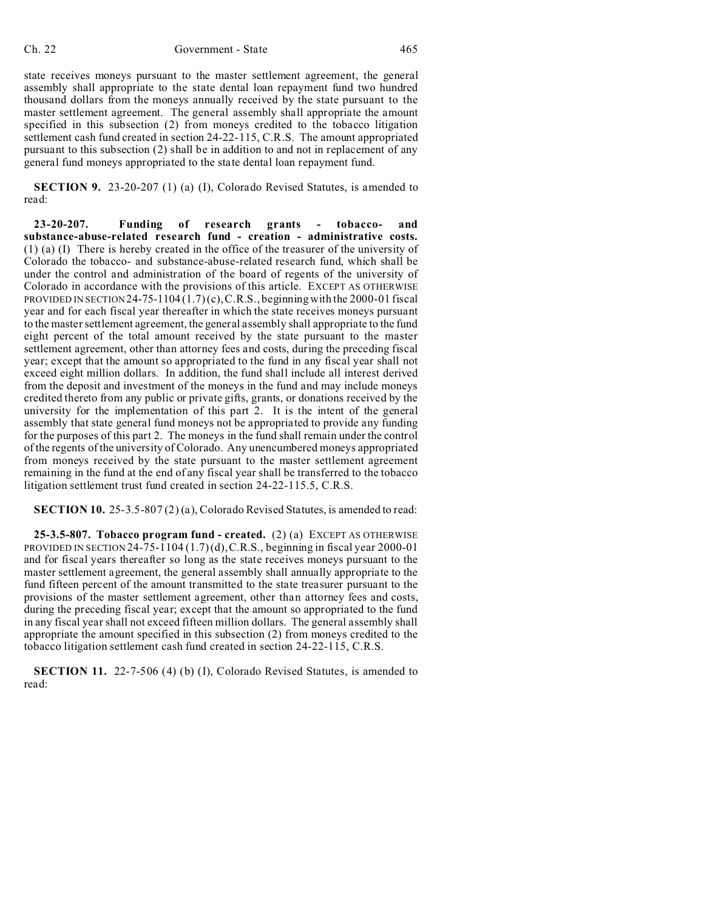state receives moneys pursuant to the master settlement agreement, the general assembly shall appropriate to the state dental loan repayment fund two hundred thousand dollars from the moneys annually received by the state pursuant to the master settlement agreement. The general assembly shall appropriate the amount specified in this subsection (2) from moneys credited to the tobacco litigation settlement cash fund created in section 24-22-115, C.R.S. The amount appropriated pursuant to this subsection (2) shall be in addition to and not in replacement of any general fund moneys appropriated to the state dental loan repayment fund.

**SECTION 9.** 23-20-207 (1) (a) (I), Colorado Revised Statutes, is amended to read:

**23-20-207. Funding of research grants - tobacco- and substance-abuse-related research fund - creation - administrative costs.** (1) (a) (I) There is hereby created in the office of the treasurer of the university of Colorado the tobacco- and substance-abuse-related research fund, which shall be under the control and administration of the board of regents of the university of Colorado in accordance with the provisions of this article. EXCEPT AS OTHERWISE PROVIDED IN SECTION 24-75-1104  $(1.7)(c)$ , C.R.S., beginning with the 2000-01 fiscal year and for each fiscal year thereafter in which the state receives moneys pursuant to the master settlement agreement, the general assembly shall appropriate to the fund eight percent of the total amount received by the state pursuant to the master settlement agreement, other than attorney fees and costs, during the preceding fiscal year; except that the amount so appropriated to the fund in any fiscal year shall not exceed eight million dollars. In addition, the fund shall include all interest derived from the deposit and investment of the moneys in the fund and may include moneys credited thereto from any public or private gifts, grants, or donations received by the university for the implementation of this part 2. It is the intent of the general assembly that state general fund moneys not be appropriated to provide any funding for the purposes of this part 2. The moneys in the fund shall remain under the control of the regents of the university of Colorado. Any unencumbered moneys appropriated from moneys received by the state pursuant to the master settlement agreement remaining in the fund at the end of any fiscal year shall be transferred to the tobacco litigation settlement trust fund created in section 24-22-115.5, C.R.S.

**SECTION 10.** 25-3.5-807 (2) (a), Colorado Revised Statutes, is amended to read:

**25-3.5-807. Tobacco program fund - created.** (2) (a) EXCEPT AS OTHERWISE PROVIDED IN SECTION 24-75-1104  $(1.7)(d)$ , C.R.S., beginning in fiscal year 2000-01 and for fiscal years thereafter so long as the state receives moneys pursuant to the master settlement agreement, the general assembly shall annually appropriate to the fund fifteen percent of the amount transmitted to the state treasurer pursuant to the provisions of the master settlement agreement, other than attorney fees and costs, during the preceding fiscal year; except that the amount so appropriated to the fund in any fiscal year shall not exceed fifteen million dollars. The general assembly shall appropriate the amount specified in this subsection (2) from moneys credited to the tobacco litigation settlement cash fund created in section 24-22-115, C.R.S.

**SECTION 11.** 22-7-506 (4) (b) (I), Colorado Revised Statutes, is amended to read: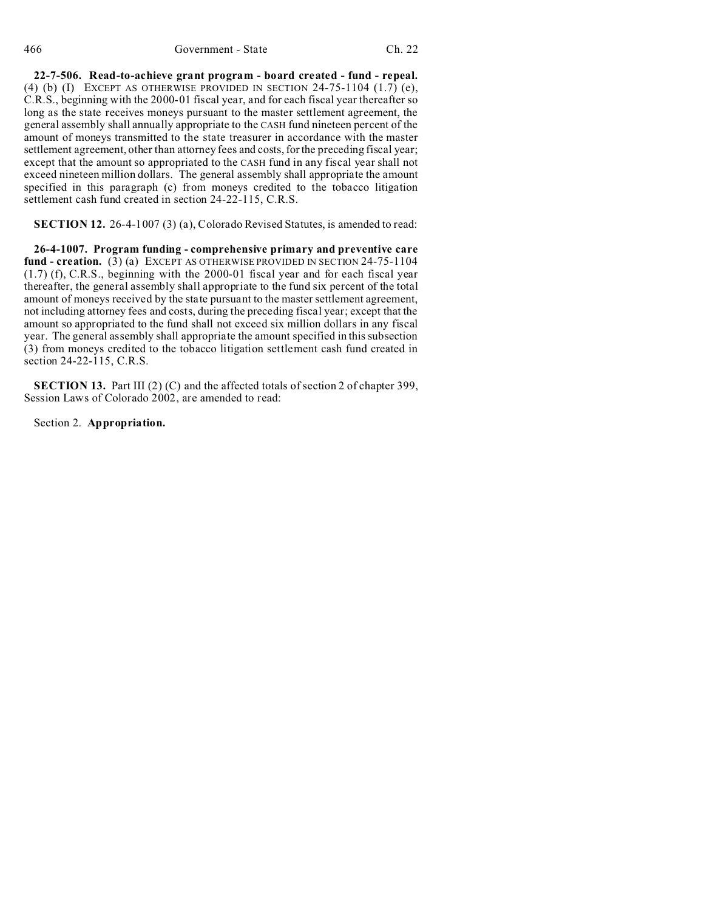**22-7-506. Read-to-achieve grant program - board created - fund - repeal.** (4) (b) (I) EXCEPT AS OTHERWISE PROVIDED IN SECTION  $24-75-1104$  (1.7) (e), C.R.S., beginning with the 2000-01 fiscal year, and for each fiscal year thereafter so long as the state receives moneys pursuant to the master settlement agreement, the general assembly shall annually appropriate to the CASH fund nineteen percent of the amount of moneys transmitted to the state treasurer in accordance with the master settlement agreement, other than attorney fees and costs, for the preceding fiscal year; except that the amount so appropriated to the CASH fund in any fiscal year shall not exceed nineteen million dollars. The general assembly shall appropriate the amount specified in this paragraph (c) from moneys credited to the tobacco litigation settlement cash fund created in section 24-22-115, C.R.S.

**SECTION 12.** 26-4-1007 (3) (a), Colorado Revised Statutes, is amended to read:

**26-4-1007. Program funding - comprehensive primary and preventive care fund - creation.** (3) (a) EXCEPT AS OTHERWISE PROVIDED IN SECTION 24-75-1104 (1.7) (f), C.R.S., beginning with the 2000-01 fiscal year and for each fiscal year thereafter, the general assembly shall appropriate to the fund six percent of the total amount of moneys received by the state pursuant to the master settlement agreement, not including attorney fees and costs, during the preceding fiscal year; except that the amount so appropriated to the fund shall not exceed six million dollars in any fiscal year. The general assembly shall appropriate the amount specified in this subsection (3) from moneys credited to the tobacco litigation settlement cash fund created in section 24-22-115, C.R.S.

**SECTION 13.** Part III (2) (C) and the affected totals of section 2 of chapter 399, Session Laws of Colorado 2002, are amended to read:

Section 2. **Appropriation.**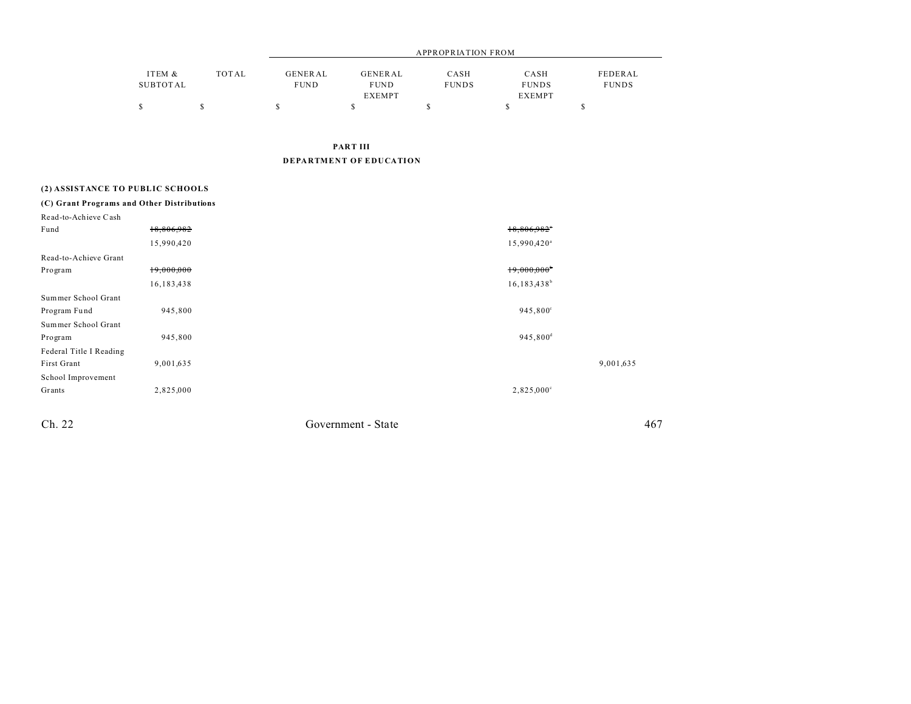|          |              |             |               | APPROPRIATION FROM |               |              |
|----------|--------------|-------------|---------------|--------------------|---------------|--------------|
| ITEM &   | <b>TOTAL</b> | GENERAL     | GENERAL       | CASH               | CASH          | FEDERAL      |
| SUBTOTAL |              | <b>FUND</b> | <b>FUND</b>   | <b>FUNDS</b>       | <b>FUNDS</b>  | <b>FUNDS</b> |
|          |              |             | <b>EXEMPT</b> |                    | <b>EXEMPT</b> |              |
|          |              |             |               |                    |               |              |

**PART III**

**DEPARTMENT OF EDUCATION**

## **(2) ASSISTANCE TO PUBLIC SCHOOLS**

| (C) Grant Programs and Other Distributions |              |                         |           |
|--------------------------------------------|--------------|-------------------------|-----------|
| Read-to-Achieve Cash                       |              |                         |           |
| Fund                                       | 18,806,982   | 18,806,982              |           |
|                                            | 15,990,420   | 15,990,420 <sup>a</sup> |           |
| Read-to-Achieve Grant                      |              |                         |           |
| Program                                    | 19,000,000   | 19,000,000              |           |
|                                            | 16, 183, 438 | $16, 183, 438^b$        |           |
| Summer School Grant                        |              |                         |           |
| Program Fund                               | 945,800      | 945,800°                |           |
| Summer School Grant                        |              |                         |           |
| Program                                    | 945,800      | 945,800 <sup>d</sup>    |           |
| Federal Title I Reading                    |              |                         |           |
| First Grant                                | 9,001,635    |                         | 9,001,635 |
| School Improvement                         |              |                         |           |
| Grants                                     | 2,825,000    | $2,825,000^{\circ}$     |           |
|                                            |              |                         |           |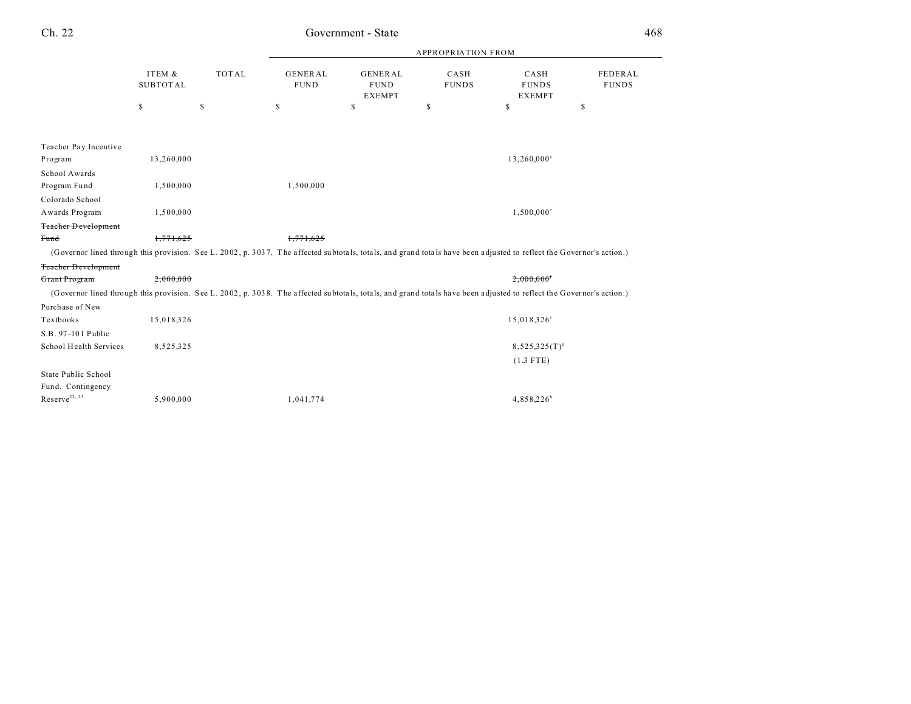| Ch. 22                                                                                                                                                               |                           |              |                               | Government - State                             |                           |                                       |                         | 468 |
|----------------------------------------------------------------------------------------------------------------------------------------------------------------------|---------------------------|--------------|-------------------------------|------------------------------------------------|---------------------------|---------------------------------------|-------------------------|-----|
|                                                                                                                                                                      |                           |              |                               |                                                | <b>APPROPRIATION FROM</b> |                                       |                         |     |
|                                                                                                                                                                      | ITEM &<br><b>SUBTOTAL</b> | <b>TOTAL</b> | <b>GENERAL</b><br><b>FUND</b> | <b>GENERAL</b><br><b>FUND</b><br><b>EXEMPT</b> | CASH<br><b>FUNDS</b>      | CASH<br><b>FUNDS</b><br><b>EXEMPT</b> | FEDERAL<br><b>FUNDS</b> |     |
|                                                                                                                                                                      | $\mathbb S$               | \$           | \$                            | \$                                             | S                         | \$                                    | \$                      |     |
|                                                                                                                                                                      |                           |              |                               |                                                |                           |                                       |                         |     |
| Teacher Pay Incentive                                                                                                                                                |                           |              |                               |                                                |                           |                                       |                         |     |
| Program                                                                                                                                                              | 13,260,000                |              |                               |                                                |                           | 13,260,000 <sup>c</sup>               |                         |     |
| School Awards<br>Program Fund                                                                                                                                        | 1,500,000                 |              | 1,500,000                     |                                                |                           |                                       |                         |     |
| Colorado School                                                                                                                                                      |                           |              |                               |                                                |                           |                                       |                         |     |
| Awards Program                                                                                                                                                       | 1,500,000                 |              |                               |                                                |                           | $1,500,000^{\circ}$                   |                         |     |
| <b>Teacher Development</b>                                                                                                                                           |                           |              |                               |                                                |                           |                                       |                         |     |
| Fund                                                                                                                                                                 | 1,771,625                 |              | 1.771.625                     |                                                |                           |                                       |                         |     |
| (Governor lined through this provision. See L. 2002, p. 3037. The affected subtotals, totals, and grand totals have been adjusted to reflect the Governor's action.) |                           |              |                               |                                                |                           |                                       |                         |     |
| <b>Teacher Development</b>                                                                                                                                           |                           |              |                               |                                                |                           |                                       |                         |     |
| Grant Program                                                                                                                                                        | 2,000,000                 |              |                               |                                                |                           | 2,000,000                             |                         |     |
| (Governor lined through this provision. See L. 2002, p. 3038. The affected subtotals, totals, and grand totals have been adjusted to reflect the Governor's action.) |                           |              |                               |                                                |                           |                                       |                         |     |
| Purchase of New                                                                                                                                                      |                           |              |                               |                                                |                           |                                       |                         |     |
| Textbooks                                                                                                                                                            | 15,018,326                |              |                               |                                                |                           | 15,018,326°                           |                         |     |
| S.B. 97-101 Public                                                                                                                                                   |                           |              |                               |                                                |                           |                                       |                         |     |
| School Health Services                                                                                                                                               | 8,525,325                 |              |                               |                                                |                           | $8,525,325(T)^{g}$                    |                         |     |
|                                                                                                                                                                      |                           |              |                               |                                                |                           | $(1.3$ FTE)                           |                         |     |
| State Public School                                                                                                                                                  |                           |              |                               |                                                |                           |                                       |                         |     |
| Fund, Contingency                                                                                                                                                    |                           |              |                               |                                                |                           |                                       |                         |     |
| $\mbox{Reserve}^{22,\,23}$                                                                                                                                           | 5,900,000                 |              | 1,041,774                     |                                                |                           | 4,858,226 <sup>h</sup>                |                         |     |
|                                                                                                                                                                      |                           |              |                               |                                                |                           |                                       |                         |     |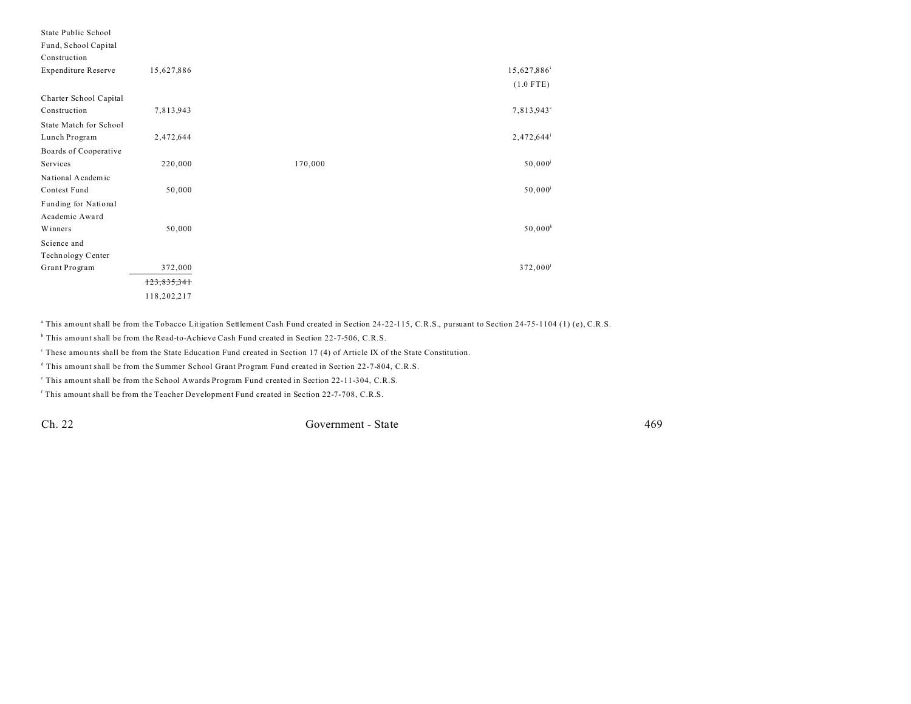| State Public School        |             |         |                         |
|----------------------------|-------------|---------|-------------------------|
| Fund, School Capital       |             |         |                         |
| Construction               |             |         |                         |
| <b>Expenditure Reserve</b> | 15,627,886  |         | 15,627,886 <sup>i</sup> |
|                            |             |         | $(1.0$ FTE)             |
| Charter School Capital     |             |         |                         |
| Construction               | 7,813,943   |         | 7,813,943°              |
| State Match for School     |             |         |                         |
| Lunch Program              | 2,472,644   |         | 2,472,644               |
| Boards of Cooperative      |             |         |                         |
| Services                   | 220,000     | 170,000 | $50,000^{\rm j}$        |
| National Academic          |             |         |                         |
| Contest Fund               | 50,000      |         | $50,000^{\rm j}$        |
| Funding for National       |             |         |                         |
| Academic Award             |             |         |                         |
| Winners                    | 50,000      |         | $50,000^k$              |
| Science and                |             |         |                         |
| Technology Center          |             |         |                         |
| Grant Program              | 372,000     |         | 372,000 <sup>1</sup>    |
|                            | 123,835,341 |         |                         |
|                            | 118,202,217 |         |                         |

<sup>a</sup> This amount shall be from the Tobacco Litigation Settlement Cash Fund created in Section 24-22-115, C.R.S., pursuant to Section 24-75-1104 (1) (e), C.R.S.

<sup>b</sup> This amount shall be from the Read-to-Achieve Cash Fund created in Section 22-7-506, C.R.S.

These amounts shall be from the State Education Fund created in Section 17 (4) of Article IX of the State Constitution.

d This amount shall be from the Summer School Grant Program Fund created in Section 22-7-804, C.R.S.

e This amount shall be from the School Awards Program Fund created in Section 22-11-304, C.R.S.

f This amount shall be from the Teacher Development Fund created in Section 22-7-708, C.R.S.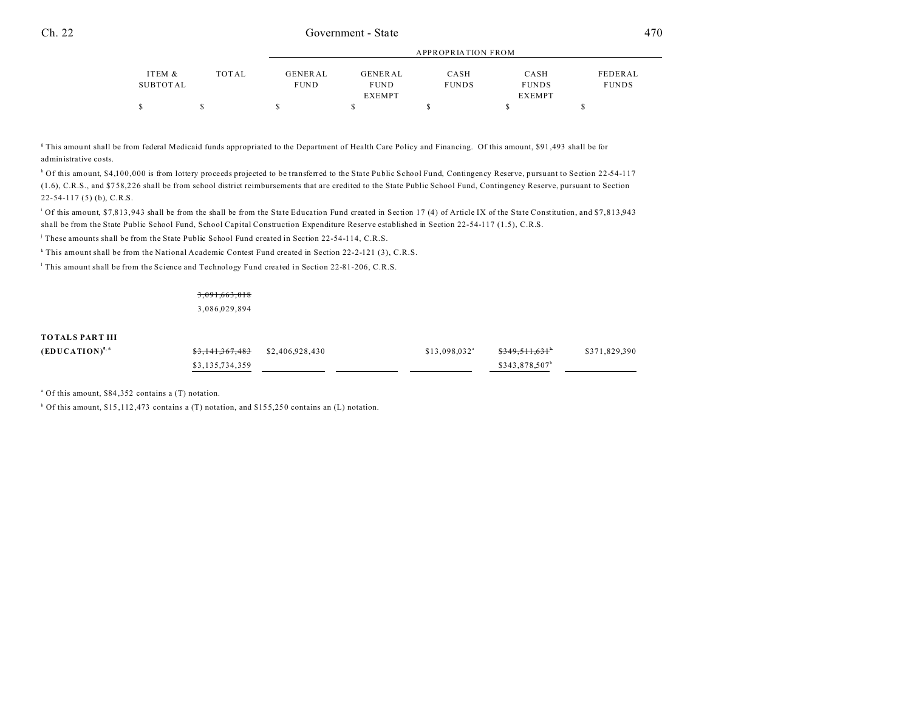|          |       |             |               | APPROPRIATION FROM |               |              |
|----------|-------|-------------|---------------|--------------------|---------------|--------------|
| ITEM &   | TOTAL | GENERAL     | GENERAL       | CASH               | CASH          | FEDERAL      |
| SUBTOTAL |       | <b>FUND</b> | <b>FUND</b>   | <b>FUNDS</b>       | <b>FUNDS</b>  | <b>FUNDS</b> |
|          |       |             | <b>EXEMPT</b> |                    | <b>EXEMPT</b> |              |
|          |       |             |               |                    |               |              |

This amount shall be from federal Medicaid funds appropriated to the Department of Health Care Policy and Financing. Of this amount, \$91,493 shall be for administrative costs.

<sup>h</sup> Of this amount, \$4,100,000 is from lottery proceeds projected to be transferred to the State Public School Fund, Contingency Reserve, pursuant to Section 22-54-117 (1.6), C.R.S., and \$7 58,2 26 shall be from school district reimbursements that are credited to the State Public School Fund, Contingency Reserve, pursuant to Section 22-54-117 (5) (b), C.R.S.

i Of this amount, \$7,813,943 shall be from the shall be from the State Education Fund created in Section 17 (4) of Article IX of the State Constitution, and \$7,813,943 shall be from the State Public School Fund, School Capital Construction Expenditure Reserve established in Section 22-54-117 (1.5), C.R.S.

j These amounts shall be from the State Public School Fund created in Section 22-54-114, C.R.S.

k This amount shall be from the National Academic Contest Fund created in Section 22-2-121 (3), C.R.S.

l This amount shall be from the Science and Technology Fund created in Section 22-81-206, C.R.S.

#### 3,091,663,018

3,086,029,894

## **TOTALS PART III**

| $(EDUCATION)^{5,6}$ | $$3,141,367,483$ $$2,406,928,430$ |  | $$13.098.032$ <sup>a</sup> | <del>\$349.511.631</del>   | \$371,829,390 |
|---------------------|-----------------------------------|--|----------------------------|----------------------------|---------------|
|                     | \$3,135,734,359                   |  |                            | \$343,878,507 <sup>b</sup> |               |

a Of this amount, \$84 ,352 contains a (T) notation.

<sup>b</sup> Of this amount, \$15,112,473 contains a (T) notation, and \$155,250 contains an (L) notation.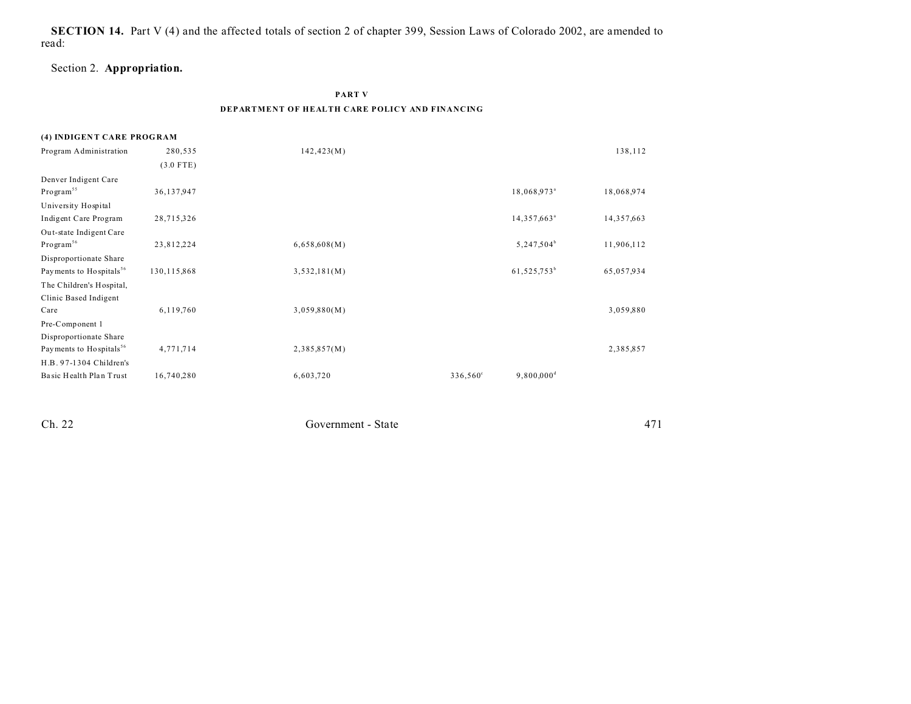**SECTION 14.** Part V (4) and the affected totals of section 2 of chapter 399, Session Laws of Colorado 2002, are amended to read:

# Section 2. **Appropriation.**

## **PART V**

#### **DEPARTMENT OF HEALTH CARE POLICY AND FINANCING**

| (4) INDIGENT CARE PROGRAM           |               |              |          |                          |            |
|-------------------------------------|---------------|--------------|----------|--------------------------|------------|
| Program Administration              | 280,535       | 142,423(M)   |          |                          | 138,112    |
|                                     | $(3.0$ FTE)   |              |          |                          |            |
| Denver Indigent Care                |               |              |          |                          |            |
| Program <sup>55</sup>               | 36,137,947    |              |          | 18,068,973 <sup>a</sup>  | 18,068,974 |
| University Hospital                 |               |              |          |                          |            |
| Indigent Care Program               | 28,715,326    |              |          | 14,357,663 <sup>ª</sup>  | 14,357,663 |
| Out-state Indigent Care             |               |              |          |                          |            |
| Program <sup>56</sup>               | 23,812,224    | 6,658,608(M) |          | 5,247,504 <sup>b</sup>   | 11,906,112 |
| Disproportionate Share              |               |              |          |                          |            |
| Payments to Hospitals <sup>56</sup> | 130, 115, 868 | 3,532,181(M) |          | $61,525,753^b$           | 65,057,934 |
| The Children's Hospital,            |               |              |          |                          |            |
| Clinic Based Indigent               |               |              |          |                          |            |
| Care                                | 6,119,760     | 3,059,880(M) |          |                          | 3,059,880  |
| Pre-Component 1                     |               |              |          |                          |            |
| Disproportionate Share              |               |              |          |                          |            |
| Payments to Hospitals <sup>56</sup> | 4,771,714     | 2,385,857(M) |          |                          | 2,385,857  |
| H.B. 97-1304 Children's             |               |              |          |                          |            |
| Basic Health Plan Trust             | 16,740,280    | 6,603,720    | 336,560° | $9,800,000$ <sup>d</sup> |            |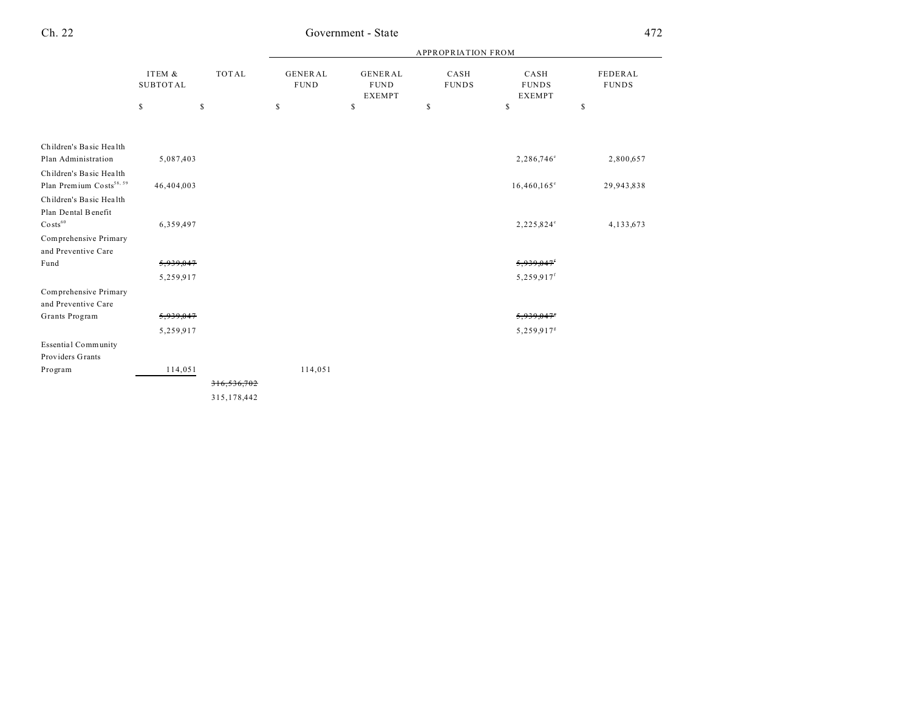|                                      |                           |             |                               |                                                | <b>APPROPRIATION FROM</b> |                                       |                         |
|--------------------------------------|---------------------------|-------------|-------------------------------|------------------------------------------------|---------------------------|---------------------------------------|-------------------------|
|                                      | ITEM &<br><b>SUBTOTAL</b> | TOTAL       | <b>GENERAL</b><br><b>FUND</b> | <b>GENERAL</b><br><b>FUND</b><br><b>EXEMPT</b> | CASH<br><b>FUNDS</b>      | CASH<br><b>FUNDS</b><br><b>EXEMPT</b> | FEDERAL<br><b>FUNDS</b> |
|                                      | $\mathbb{S}$              | \$          | S                             | \$                                             | $\mathbb S$               | \$                                    | \$                      |
| Children's Basic Health              |                           |             |                               |                                                |                           |                                       |                         |
| Plan Administration                  | 5,087,403                 |             |                               |                                                |                           | 2,286,746°                            | 2,800,657               |
| Children's Basic Health              |                           |             |                               |                                                |                           |                                       |                         |
| Plan Premium Costs <sup>58, 59</sup> | 46,404,003                |             |                               |                                                |                           | $16,460,165$ <sup>e</sup>             | 29,943,838              |
| Children's Basic Health              |                           |             |                               |                                                |                           |                                       |                         |
| Plan Dental Benefit                  |                           |             |                               |                                                |                           |                                       |                         |
| $Costs^{60}$                         | 6,359,497                 |             |                               |                                                |                           | 2,225,824°                            | 4,133,673               |
| Comprehensive Primary                |                           |             |                               |                                                |                           |                                       |                         |
| and Preventive Care                  |                           |             |                               |                                                |                           |                                       |                         |
| Fund                                 | 5,939,047                 |             |                               |                                                |                           | 5,939,047                             |                         |
|                                      | 5,259,917                 |             |                               |                                                |                           | 5,259,917f                            |                         |
| Comprehensive Primary                |                           |             |                               |                                                |                           |                                       |                         |
| and Preventive Care                  |                           |             |                               |                                                |                           |                                       |                         |
| Grants Program                       | 5,939,047                 |             |                               |                                                |                           | 5,939,047*                            |                         |
|                                      | 5,259,917                 |             |                               |                                                |                           | 5,259,917 <sup>s</sup>                |                         |
| Essential Community                  |                           |             |                               |                                                |                           |                                       |                         |
| Providers Grants                     |                           |             |                               |                                                |                           |                                       |                         |
| Program                              | 114,051                   |             | 114,051                       |                                                |                           |                                       |                         |
|                                      |                           | 316,536,702 |                               |                                                |                           |                                       |                         |
|                                      |                           | 315,178,442 |                               |                                                |                           |                                       |                         |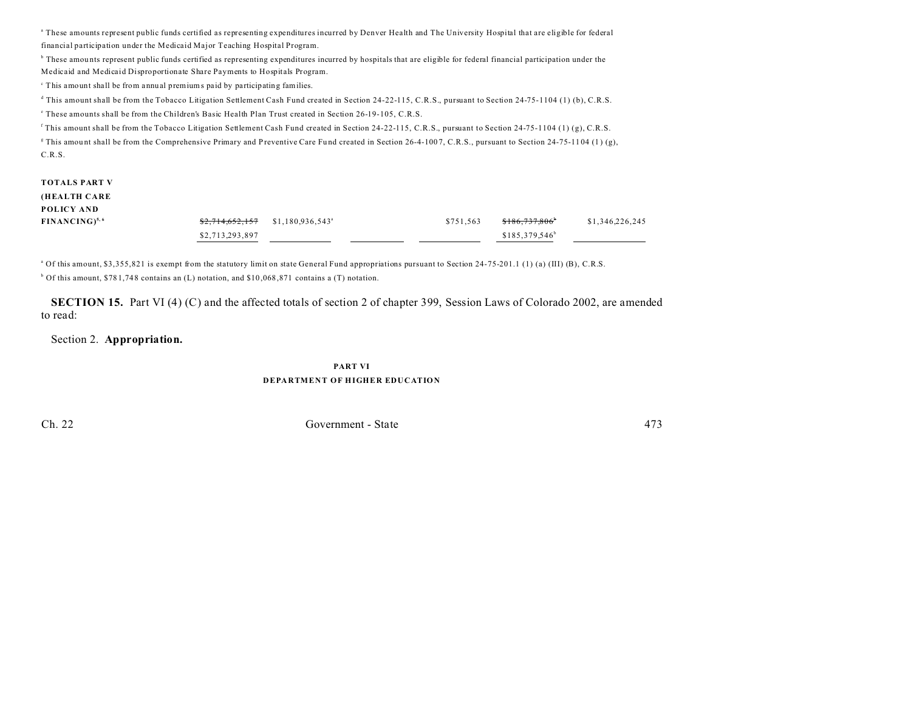a These amounts represent public funds certified as representing expenditures incurred by Denver Health and The University Hospital that are eligible for federal financial participation under the Medicaid Major Teaching Hospital Program.

b These amou nts represent public funds certified as representing expenditures incurred by hospitals that are eligible for federal financial participation under the Medicaid and Medicaid Disproportionate Share Payments to Hospitals Program.

c This amount shall be from a nnu al premiums paid by participating families.

d This amount shall be from the Tobacco Litigation Settlement Cash Fund created in Section 24-22-115, C.R.S., pursuant to Section 24-75-1104 (1) (b), C.R.S.

e These amounts shall be from the Children's Basic Health Plan Trust created in Section 26-19-105, C.R.S.

f This amount shall be from the Tobacco Litigation Settlement Cash Fund created in Section 24-22-115, C.R.S., pursuant to Section 24-75-1104 (1) (g), C.R.S.

<sup>g</sup> This amount shall be from the Comprehensive Primary and Preventive Care Fund created in Section 26-4-1007, C.R.S., pursuant to Section 24-75-1104 (1) (g), C.R.S.

#### **TOTALS PART V (HEALTH CARE POLICY AND FINANCING**<sup>5, 6</sup> \$2,714,652,157 \$1,180,936,543<sup>a</sup>  $$186,737,806$ <sup>b</sup> \$1,346,226,245 \$2,713,293,897 \$185,379,546<sup>b</sup>

<sup>a</sup> Of this amount, \$3,355,821 is exempt from the statutory limit on state General Fund appropriations pursuant to Section 24-75-201.1 (1) (a) (III) (B), C.R.S. <sup>b</sup> Of this amount, \$781,748 contains an (L) notation, and \$10,068,871 contains a (T) notation.

**SECTION 15.** Part VI (4) (C) and the affected totals of section 2 of chapter 399, Session Laws of Colorado 2002, are amended to read:

Section 2. **Appropriation.**

## **PART VI DEPARTMENT OF HIGHER EDUCATION**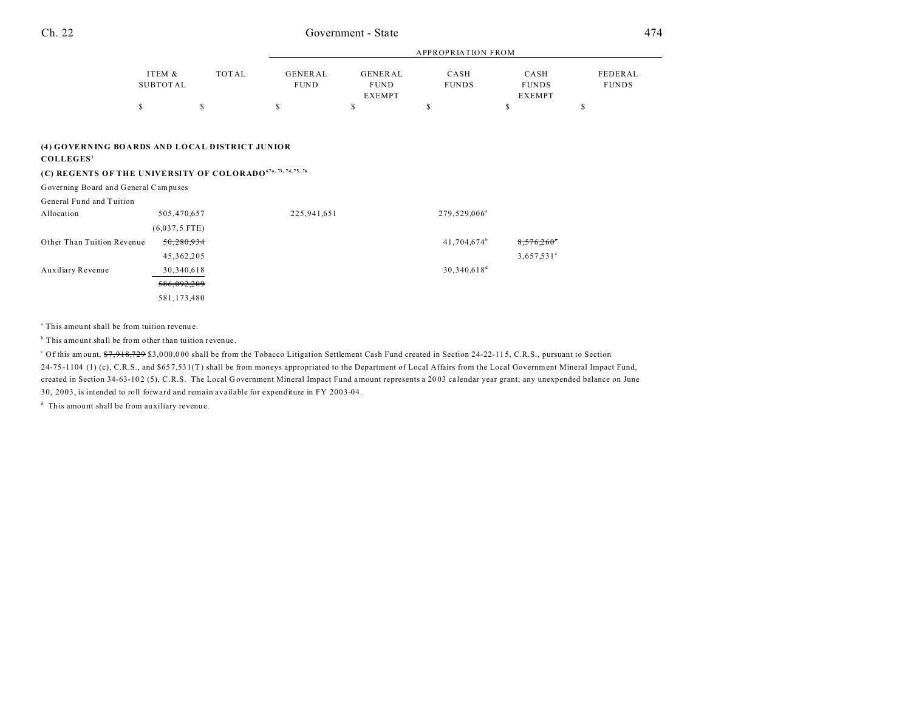| Ch. 22 | Government - State |  |
|--------|--------------------|--|
|        |                    |  |

|                                                                                                                                                    |                           |       | <b>APPROPRIATION FROM</b> |                                                |                      |                                       |                         |  |  |
|----------------------------------------------------------------------------------------------------------------------------------------------------|---------------------------|-------|---------------------------|------------------------------------------------|----------------------|---------------------------------------|-------------------------|--|--|
|                                                                                                                                                    | ITEM &<br><b>SUBTOTAL</b> | TOTAL | GENERAL<br><b>FUND</b>    | <b>GENERAL</b><br><b>FUND</b><br><b>EXEMPT</b> | CASH<br><b>FUNDS</b> | CASH<br><b>FUNDS</b><br><b>EXEMPT</b> | FEDERAL<br><b>FUNDS</b> |  |  |
|                                                                                                                                                    | \$                        | \$    | S                         | \$                                             | S                    | S                                     | ъ                       |  |  |
|                                                                                                                                                    |                           |       |                           |                                                |                      |                                       |                         |  |  |
| (4) GOVERNING BOARDS AND LOCAL DISTRICT JUNIOR<br>COLLEGES <sup>1</sup><br>(C) REGENTS OF THE UNIVERSITY OF COLORADO <sup>67a, 73, 74,75, 76</sup> |                           |       |                           |                                                |                      |                                       |                         |  |  |

Governing Board and General Campuses

| General Fund and Tuition   |                 |             |                          |                   |
|----------------------------|-----------------|-------------|--------------------------|-------------------|
| Allocation                 | 505,470,657     | 225,941,651 | 279,529,006 <sup>a</sup> |                   |
|                            | $(6,037.5$ FTE) |             |                          |                   |
| Other Than Tuition Revenue | 50,280,934      |             | $41,704,674^b$           | $8,576,260^\circ$ |
|                            | 45, 362, 205    |             |                          | $3,657.531$ °     |
| Auxiliary Revenue          | 30,340,618      |             | $30,340,618^d$           |                   |
|                            | 586,092,209     |             |                          |                   |
|                            | 581,173,480     |             |                          |                   |

<sup>a</sup> This amount shall be from tuition revenue.

<sup>b</sup> This amount shall be from other than tuition revenue.

<sup>c</sup> Of this amount, \$7,918,729 \$3,000,000 shall be from the Tobacco Litigation Settlement Cash Fund created in Section 24-22-115, C.R.S., pursuant to Section 24-75 -1104 (1) (c), C.R.S., and \$65 7,531(T) shall be from moneys appropriated to the Department of Local Affairs from the Local Government Mineral Impact Fund, created in Section 34-63-10 2 (5), C.R.S. The Local G overnment Mineral Impact Fund amount represents a 20 03 ca lendar year grant; any unexpended balance on June 30, 2003, is intended to roll forward and remain available for expenditure in FY 2003-04.

<sup>d</sup> This amount shall be from auxiliary revenue.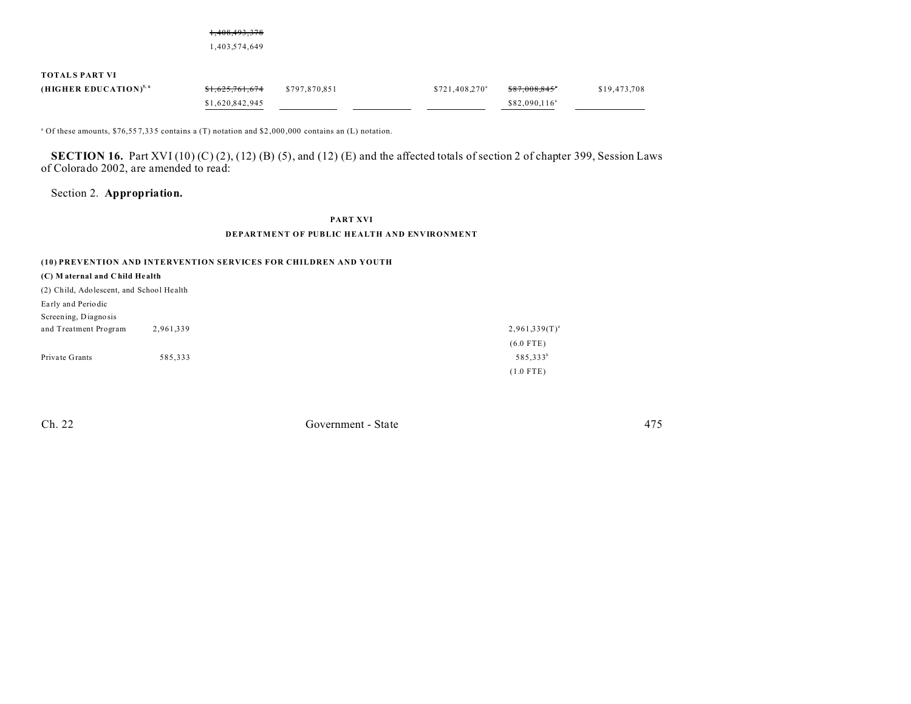1,408,493,378

1,403,574,649

# **TOTALS PART VI**

| (HIGHER EDUCATION) <sup>5,6</sup> | <del>\$1,625,761,674</del> | \$797.870.851 | $$721.408.270$ <sup>a</sup> | <del>\$87,008,845</del> * | \$19,473,708 |
|-----------------------------------|----------------------------|---------------|-----------------------------|---------------------------|--------------|
|                                   | \$1,620,842,945            |               |                             | $$82,090,116^a$           |              |

a Of these amounts, \$76,55 7,33 5 contains a (T) notation and \$2 ,000 ,000 contains an (L) notation.

**SECTION 16.** Part XVI (10) (C) (2), (12) (B) (5), and (12) (E) and the affected totals of section 2 of chapter 399, Session Laws of Colorado 2002, are amended to read:

# Section 2. **Appropriation.**

### **PART XVI**

#### **DEPARTMENT OF PUBLIC HEALTH AND ENVIRONMENT**

# **(10) PREVENTION AND INTERVENTION SERVICES FOR CHILDREN AND YOUTH**

| (C) Maternal and Child Health            |           |                      |
|------------------------------------------|-----------|----------------------|
| (2) Child, Adolescent, and School Health |           |                      |
| Early and Periodic                       |           |                      |
| Screening, Diagnosis                     |           |                      |
| and Treatment Program                    | 2,961,339 | $2,961,339(T)^{a}$   |
|                                          |           | $(6.0$ FTE)          |
| Private Grants                           | 585,333   | 585,333 <sup>b</sup> |
|                                          |           | $(1.0$ FTE)          |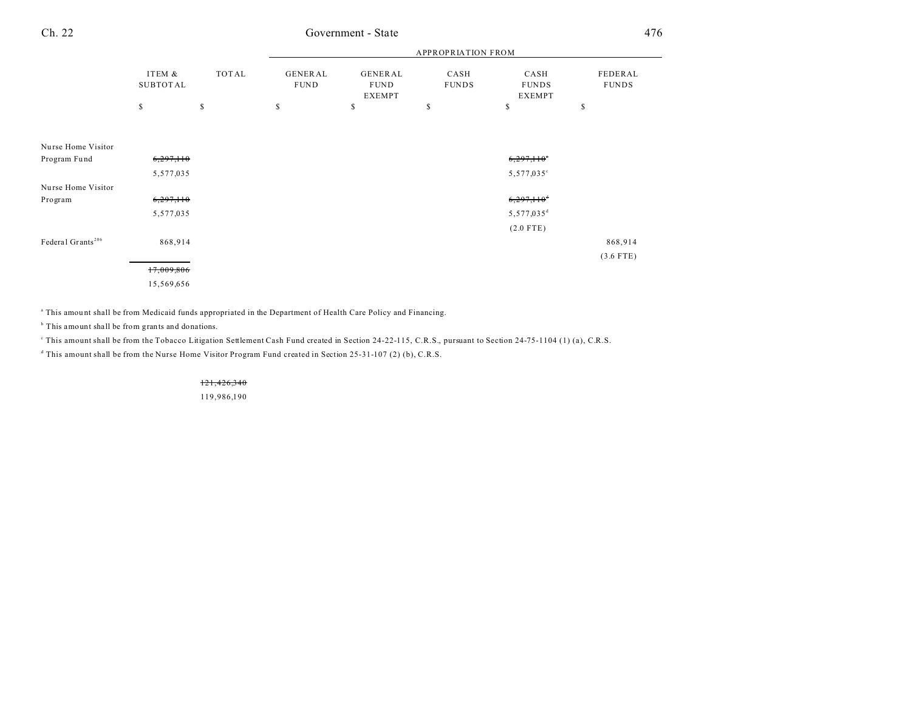| 476 |
|-----|
|     |

|                               |                           |       | <b>APPROPRIATION FROM</b> |                                         |                      |                                       |                         |
|-------------------------------|---------------------------|-------|---------------------------|-----------------------------------------|----------------------|---------------------------------------|-------------------------|
|                               | ITEM &<br><b>SUBTOTAL</b> | TOTAL | GENERAL<br><b>FUND</b>    | GENERAL<br><b>FUND</b><br><b>EXEMPT</b> | CASH<br><b>FUNDS</b> | CASH<br><b>FUNDS</b><br><b>EXEMPT</b> | FEDERAL<br><b>FUNDS</b> |
|                               | \$                        | \$    | S.                        | \$                                      | $\mathbb{S}$         | \$                                    | \$                      |
|                               |                           |       |                           |                                         |                      |                                       |                         |
| Nurse Home Visitor            |                           |       |                           |                                         |                      |                                       |                         |
| Program Fund                  | 6,297,110                 |       |                           |                                         |                      | 6,297,110                             |                         |
|                               | 5,577,035                 |       |                           |                                         |                      | 5,577,035°                            |                         |
| Nurse Home Visitor            |                           |       |                           |                                         |                      |                                       |                         |
| Program                       | 6,297,110                 |       |                           |                                         |                      | $6,297,110$ <sup>d</sup>              |                         |
|                               | 5,577,035                 |       |                           |                                         |                      | $5,577,035$ <sup>d</sup>              |                         |
|                               |                           |       |                           |                                         |                      | $(2.0$ FTE)                           |                         |
| Federal Grants <sup>206</sup> | 868,914                   |       |                           |                                         |                      |                                       | 868,914                 |
|                               |                           |       |                           |                                         |                      |                                       | $(3.6$ FTE)             |
|                               | 17,009,806                |       |                           |                                         |                      |                                       |                         |
|                               | 15,569,656                |       |                           |                                         |                      |                                       |                         |

<sup>a</sup> This amount shall be from Medicaid funds appropriated in the Department of Health Care Policy and Financing.

<sup>b</sup> This amount shall be from grants and donations.

This amount shall be from the Tobacco Litigation Settlement Cash Fund created in Section 24-22-115, C.R.S., pursuant to Section 24-75-1104 (1) (a), C.R.S.

d This amount shall be from the Nurse Home Visitor Program Fund created in Section 25-31-107 (2) (b), C.R.S.

#### 121,426,340

119,986,190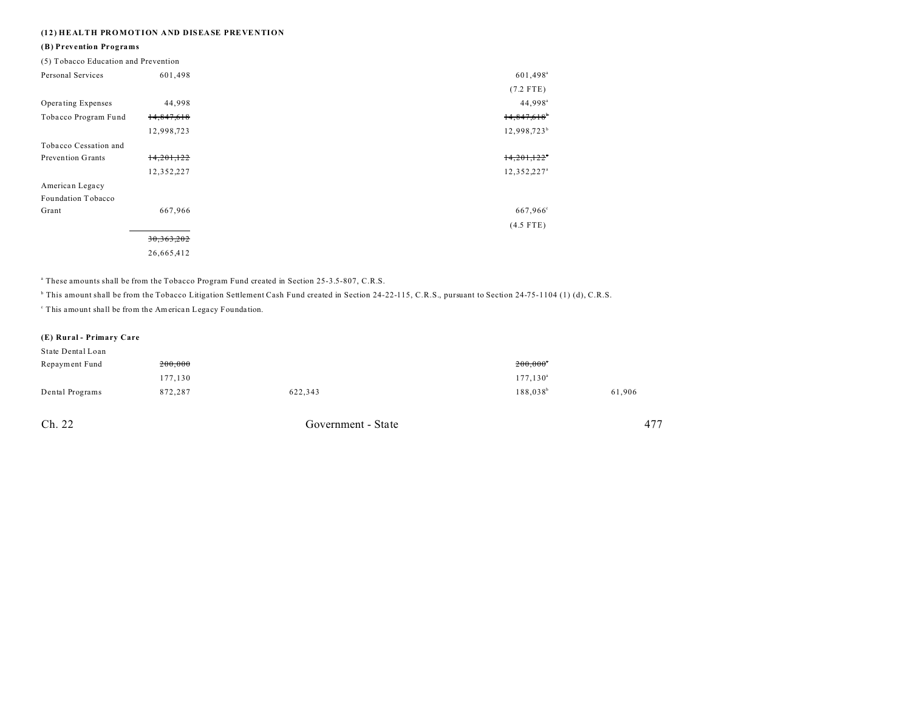# **(12) HEALTH PROMOTION AND DISEASE PREVENTION**

#### **(B) Prevention Programs**

| (5) Tobacco Education and Prevention |              |                           |
|--------------------------------------|--------------|---------------------------|
| Personal Services                    | 601,498      | 601,498 <sup>a</sup>      |
|                                      |              | $(7.2$ FTE)               |
| Operating Expenses                   | 44,998       | $44,998$ <sup>a</sup>     |
| Tobacco Program Fund                 | 14,847,618   | $14,847,618$ <sup>b</sup> |
|                                      | 12,998,723   | 12,998,723 <sup>b</sup>   |
| Tobacco Cessation and                |              |                           |
| Prevention Grants                    | 14,201,122   | 14,201,122                |
|                                      | 12,352,227   | 12,352,227 <sup>a</sup>   |
| American Legacy                      |              |                           |
| Foundation Tobacco                   |              |                           |
| Grant                                | 667,966      | 667,966 <sup>c</sup>      |
|                                      |              | $(4.5$ FTE)               |
|                                      | 30, 363, 202 |                           |
|                                      | 26,665,412   |                           |

a These amounts shall be from the Tobacco Program Fund created in Section 25-3.5-807, C.R.S.

<sup>b</sup> This amount shall be from the Tobacco Litigation Settlement Cash Fund created in Section 24-22-115, C.R.S., pursuant to Section 24-75-1104 (1) (d), C.R.S.

<sup>c</sup> This amount shall be from the American Legacy Foundation.

#### **(E) Rural - Primary Care**

| 200.000 |         | $200.000$ <sup>*</sup> |        |
|---------|---------|------------------------|--------|
| 177.130 |         | $177.130^a$            |        |
| 872,287 | 622,343 | 188.038 <sup>b</sup>   | 61,906 |
|         |         |                        |        |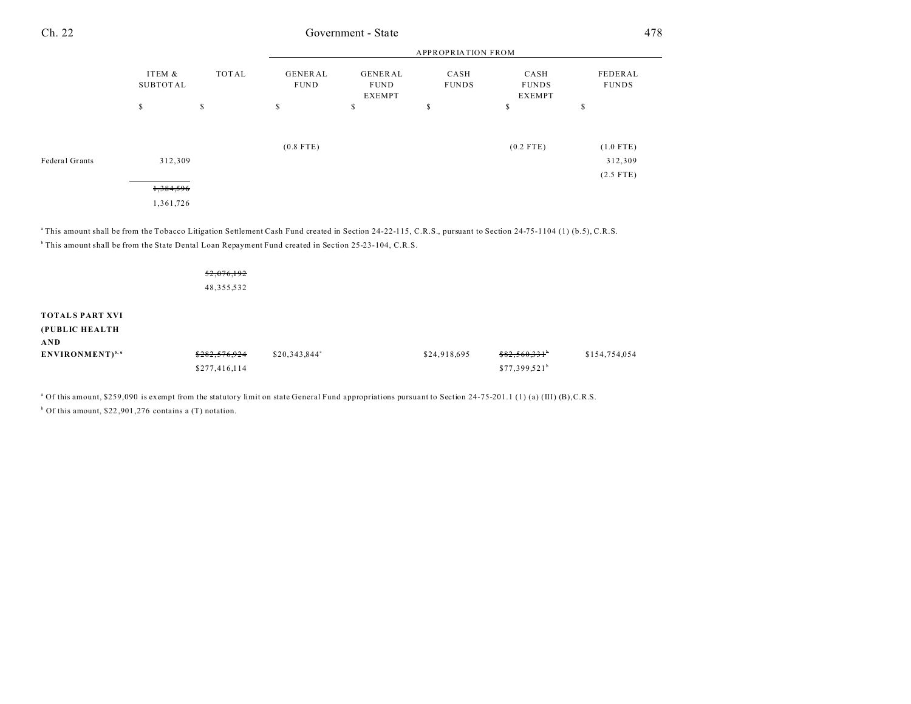| Ch. 22                                                                                                                                                                                                                                                                                        |                           |                                |                               | Government - State                             |                      |                                       | 478                                   |
|-----------------------------------------------------------------------------------------------------------------------------------------------------------------------------------------------------------------------------------------------------------------------------------------------|---------------------------|--------------------------------|-------------------------------|------------------------------------------------|----------------------|---------------------------------------|---------------------------------------|
|                                                                                                                                                                                                                                                                                               |                           | <b>APPROPRIATION FROM</b>      |                               |                                                |                      |                                       |                                       |
|                                                                                                                                                                                                                                                                                               | ITEM &<br><b>SUBTOTAL</b> | <b>TOTAL</b>                   | <b>GENERAL</b><br><b>FUND</b> | <b>GENERAL</b><br><b>FUND</b><br><b>EXEMPT</b> | CASH<br><b>FUNDS</b> | CASH<br><b>FUNDS</b><br><b>EXEMPT</b> | FEDERAL<br><b>FUNDS</b>               |
|                                                                                                                                                                                                                                                                                               | $\mathbb{S}$              | \$                             | \$                            | \$                                             | $\mathbb S$          | \$                                    | \$                                    |
| Federal Grants                                                                                                                                                                                                                                                                                | 312,309                   |                                | $(0.8$ FTE)                   |                                                |                      | $(0.2$ FTE)                           | $(1.0$ FTE)<br>312,309<br>$(2.5$ FTE) |
|                                                                                                                                                                                                                                                                                               | 1,384,596                 |                                |                               |                                                |                      |                                       |                                       |
|                                                                                                                                                                                                                                                                                               | 1,361,726                 |                                |                               |                                                |                      |                                       |                                       |
| <sup>a</sup> This amount shall be from the Tobacco Litigation Settlement Cash Fund created in Section 24-22-115, C.R.S., pursuant to Section 24-75-1104 (1) (b.5), C.R.S.<br><sup>b</sup> This amount shall be from the State Dental Loan Repayment Fund created in Section 25-23-104, C.R.S. |                           | 52,076,192<br>48, 355, 532     |                               |                                                |                      |                                       |                                       |
| <b>TOTALS PART XVI</b><br>(PUBLIC HEALTH<br>AND<br>ENVIRONMENT) <sup>5, 6</sup>                                                                                                                                                                                                               |                           | \$282,576,924<br>\$277,416,114 | \$20,343,844 <sup>a</sup>     |                                                | \$24,918,695         | \$82,560,331"<br>$$77,399,521^b$      | \$154,754,054                         |

<sup>a</sup> Of this amount, \$259,090 is exempt from the statutory limit on state General Fund appropriations pursuant to Section 24-75-201.1 (1) (a) (III) (B),C.R.S. b Of this amount, \$22 ,901 ,276 contains a (T) notation.